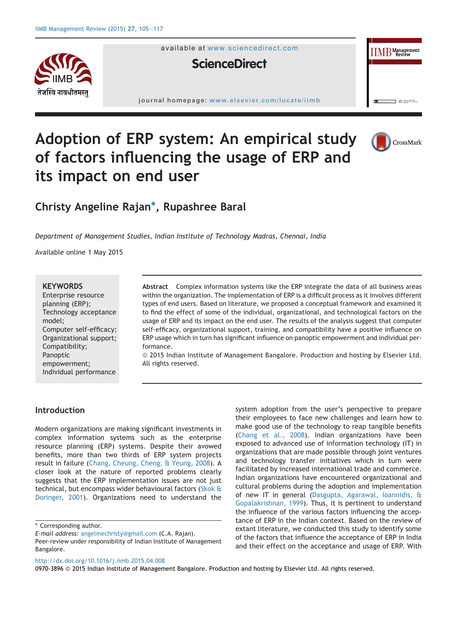

available at [www.sciencedirect.com](www.sciencedirect.com/science/journal/09703896)



journal homepage: [www.elsevier.com/locate/iimb](http://www.elsevier.com/locate/iimb)



 $\bigotimes_{\text{min}}$ 

 $\text{IIMB}^{\text{Management}}$ 

# Adoption of ERP system: An empirical study of factors influencing the usage of ERP and its impact on end user

# Christy Angeline Rajan\*, Rupashree Baral

Department of Management Studies, Indian Institute of Technology Madras, Chennai, India

Available online 1 May 2015

#### **KEYWORDS**

Enterprise resource planning (ERP); Technology acceptance model; Computer self-efficacy; Organizational support; Compatibility; Panoptic empowerment; Individual performance Abstract Complex information systems like the ERP integrate the data of all business areas within the organization. The implementation of ERP is a difficult process as it involves different types of end users. Based on literature, we proposed a conceptual framework and examined it to find the effect of some of the individual, organizational, and technological factors on the usage of ERP and its impact on the end user. The results of the analysis suggest that computer self-efficacy, organizational support, training, and compatibility have a positive influence on ERP usage which in turn has significant influence on panoptic empowerment and individual performance.

ª 2015 Indian Institute of Management Bangalore. Production and hosting by Elsevier Ltd. All rights reserved.

# Introduction

Modern organizations are making significant investments in complex information systems such as the enterprise resource planning (ERP) systems. Despite their avowed benefits, more than two thirds of ERP system projects result in failure [\(Chang, Cheung, Cheng, & Yeung, 2008\)](#page-10-0). A closer look at the nature of reported problems clearly suggests that the ERP implementation issues are not just technical, but encompass wider behavioural factors ([Skok &](#page-12-0) [Doringer, 2001\)](#page-12-0). Organizations need to understand the system adoption from the user's perspective to prepare their employees to face new challenges and learn how to make good use of the technology to reap tangible benefits ([Chang et al., 2008](#page-10-0)). Indian organizations have been exposed to advanced use of information technology (IT) in organizations that are made possible through joint ventures and technology transfer initiatives which in turn were facilitated by increased international trade and commerce. Indian organizations have encountered organizational and cultural problems during the adoption and implementation of new IT in general ([Dasgupta, Agarawal, Ioannidis, &](#page-11-0) [Gopalakrishnan, 1999](#page-11-0)). Thus, it is pertinent to understand the influence of the various factors influencing the acceptance of ERP in the Indian context. Based on the review of extant literature, we conducted this study to identify some of the factors that influence the acceptance of ERP in India and their effect on the acceptance and usage of ERP. With

<http://dx.doi.org/10.1016/j.iimb.2015.04.008>

0970-3896 @ 2015 Indian Institute of Management Bangalore. Production and hosting by Elsevier Ltd. All rights reserved.

<sup>\*</sup> Corresponding author.

E-mail address: [angelinechristy@gmail.com](mailto:angelinechristy@gmail.com) (C.A. Rajan).

Peer-review under responsibility of Indian Institute of Management Bangalore.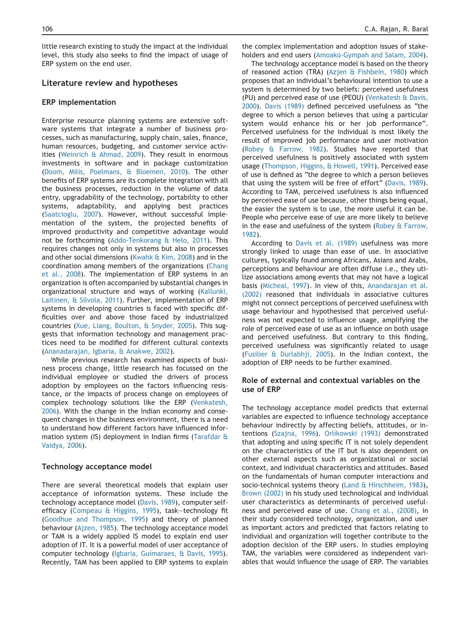little research existing to study the impact at the individual level, this study also seeks to find the impact of usage of ERP system on the end user.

# Literature review and hypotheses

# ERP implementation

Enterprise resource planning systems are extensive software systems that integrate a number of business processes, such as manufacturing, supply chain, sales, finance, human resources, budgeting, and customer service activities [\(Weinrich & Ahmad, 2009](#page-12-0)). They result in enormous investments in software and in package customization [\(Doom, Milis, Poelmans, & Bloemen, 2010\)](#page-11-0). The other benefits of ERP systems are its complete integration with all the business processes, reduction in the volume of data entry, upgradability of the technology, portability to other systems, adaptability, and applying best practices [\(Saatcioglu, 2007](#page-11-0)). However, without successful implementation of the system, the projected benefits of improved productivity and competitive advantage would not be forthcoming ([Addo-Tenkorang & Helo, 2011\)](#page-10-0). This requires changes not only in systems but also in processes and other social dimensions [\(Kwahk & Kim, 2008\)](#page-11-0) and in the coordination among members of the organizations [\(Chang](#page-10-0) [et al., 2008\)](#page-10-0). The implementation of ERP systems in an organization is often accompanied by substantial changes in organizational structure and ways of working [\(Kallunki,](#page-11-0) [Laitinen, & Silvola, 2011\)](#page-11-0). Further, implementation of ERP systems in developing countries is faced with specific difficulties over and above those faced by industrialized countries ([Xue, Liang, Boulton, & Snyder, 2005\)](#page-12-0). This suggests that information technology and management practices need to be modified for different cultural contexts [\(Ananadarajan, Igbaria, & Anakwe, 2002](#page-10-0)).

While previous research has examined aspects of business process change, little research has focussed on the individual employee or studied the drivers of process adoption by employees on the factors influencing resistance, or the impacts of process change on employees of complex technology solutions like the ERP [\(Venkatesh,](#page-12-0) [2006](#page-12-0)). With the change in the Indian economy and consequent changes in the business environment, there is a need to understand how different factors have influenced information system (IS) deployment in Indian firms ([Tarafdar &](#page-12-0) [Vaidya, 2006](#page-12-0)).

# Technology acceptance model

There are several theoretical models that explain user acceptance of information systems. These include the technology acceptance model ([Davis, 1989\)](#page-11-0), computer self-efficacy [\(Compeau & Higgins, 1995](#page-11-0)), task-technology fit [\(Goodhue and Thompson, 1995\)](#page-11-0) and theory of planned behaviour [\(Ajzen, 1985](#page-10-0)). The technology acceptance model or TAM is a widely applied IS model to explain end user adoption of IT. It is a powerful model of user acceptance of computer technology ([Igbaria, Guimaraes, & Davis, 1995](#page-11-0)). Recently, TAM has been applied to ERP systems to explain

the complex implementation and adoption issues of stakeholders and end users ([Amoako-Gympah and Salam, 2004](#page-10-0)).

The technology acceptance model is based on the theory of reasoned action (TRA) [\(Azjen & Fishbein, 1980\)](#page-10-0) which proposes that an individual's behavioural intention to use a system is determined by two beliefs: perceived usefulness (PU) and perceived ease of use (PEOU) ([Venkatesh & Davis,](#page-12-0) [2000](#page-12-0)). [Davis \(1989\)](#page-11-0) defined perceived usefulness as "the degree to which a person believes that using a particular system would enhance his or her job performance". Perceived usefulness for the individual is most likely the result of improved job performance and user motivation [\(Robey & Farrow, 1982](#page-11-0)). Studies have reported that perceived usefulness is positively associated with system usage [\(Thompson, Higgins, & Howell, 1991\)](#page-12-0). Perceived ease of use is defined as "the degree to which a person believes that using the system will be free of effort" ([Davis, 1989](#page-11-0)). According to TAM, perceived usefulness is also influenced by perceived ease of use because, other things being equal, the easier the system is to use, the more useful it can be. People who perceive ease of use are more likely to believe in the ease and usefulness of the system [\(Robey & Farrow,](#page-11-0) [1982](#page-11-0)).

According to [Davis et al. \(1989\)](#page-11-0) usefulness was more strongly linked to usage than ease of use. In associative cultures, typically found among Africans, Asians and Arabs, perceptions and behaviour are often diffuse i.e., they utilize associations among events that may not have a logical basis ([Micheal, 1997](#page-11-0)). In view of this, [Anandarajan et al.](#page-10-0) [\(2002\)](#page-10-0) reasoned that individuals in associative cultures might not connect perceptions of perceived usefulness with usage behaviour and hypothesised that perceived usefulness was not expected to influence usage, amplifying the role of perceived ease of use as an influence on both usage and perceived usefulness. But contrary to this finding, perceived usefulness was significantly related to usage [\(Fusilier & Durlabhji, 2005](#page-11-0)). In the Indian context, the adoption of ERP needs to be further examined.

# Role of external and contextual variables on the use of ERP

The technology acceptance model predicts that external variables are expected to influence technology acceptance behaviour indirectly by affecting beliefs, attitudes, or intentions [\(Szajna, 1996](#page-12-0)). [Orlikowski \(1993\)](#page-11-0) demonstrated that adopting and using specific IT is not solely dependent on the characteristics of the IT but is also dependent on other external aspects such as organizational or social context, and individual characteristics and attitudes. Based on the fundamentals of human computer interactions and socio-technical systems theory ([Land & Hirschheim, 1983](#page-11-0)), [Brown \(2002\)](#page-10-0) in his study used technological and individual user characteristics as determinants of perceived usefulness and perceived ease of use. [Chang et al., \(2008\)](#page-10-0), in their study considered technology, organization, and user as important actors and predicted that factors relating to individual and organization will together contribute to the adoption decision of the ERP users. In studies employing TAM, the variables were considered as independent variables that would influence the usage of ERP. The variables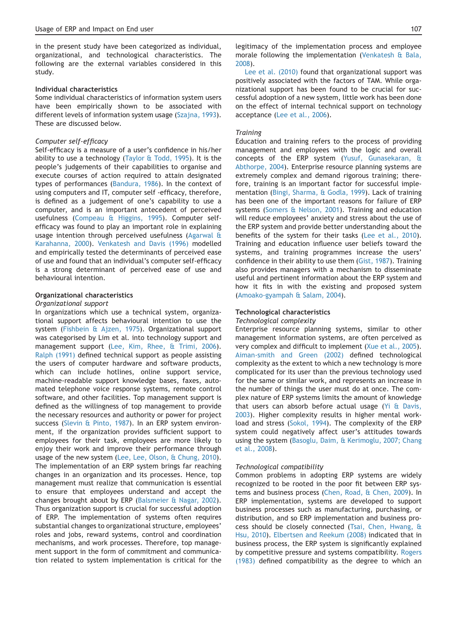in the present study have been categorized as individual, organizational, and technological characteristics. The following are the external variables considered in this study.

# Individual characteristics

Some individual characteristics of information system users have been empirically shown to be associated with different levels of information system usage [\(Szajna, 1993\)](#page-12-0). These are discussed below.

#### Computer self-efficacy

Self-efficacy is a measure of a user's confidence in his/her ability to use a technology (Taylor  $\alpha$  Todd, 1995). It is the people's judgements of their capabilities to organise and execute courses of action required to attain designated types of performances ([Bandura, 1986](#page-10-0)). In the context of using computers and IT, computer self -efficacy, therefore, is defined as a judgement of one's capability to use a computer, and is an important antecedent of perceived usefulness [\(Compeau & Higgins, 1995](#page-11-0)). Computer selfefficacy was found to play an important role in explaining usage intention through perceived usefulness ([Agarwal &](#page-10-0) [Karahanna, 2000\)](#page-10-0). [Venkatesh and Davis \(1996\)](#page-12-0) modelled and empirically tested the determinants of perceived ease of use and found that an individual's computer self-efficacy is a strong determinant of perceived ease of use and behavioural intention.

#### Organizational characteristics

#### Organizational support

In organizations which use a technical system, organizational support affects behavioural intention to use the system [\(Fishbein & Ajzen, 1975](#page-11-0)). Organizational support was categorised by Lim et al. into technology support and management support [\(Lee, Kim, Rhee, & Trimi, 2006\)](#page-11-0). [Ralph \(1991\)](#page-11-0) defined technical support as people assisting the users of computer hardware and software products, which can include hotlines, online support service, machine-readable support knowledge bases, faxes, automated telephone voice response systems, remote control software, and other facilities. Top management support is defined as the willingness of top management to provide the necessary resources and authority or power for project success [\(Slevin & Pinto, 1987\)](#page-12-0). In an ERP system environment, if the organization provides sufficient support to employees for their task, employees are more likely to enjoy their work and improve their performance through usage of the new system ([Lee, Lee, Olson, & Chung, 2010\)](#page-11-0). The implementation of an ERP system brings far reaching changes in an organization and its processes. Hence, top management must realize that communication is essential to ensure that employees understand and accept the changes brought about by ERP [\(Balsmeier & Nagar, 2002\)](#page-10-0). Thus organization support is crucial for successful adoption of ERP. The implementation of systems often requires substantial changes to organizational structure, employees' roles and jobs, reward systems, control and coordination mechanisms, and work processes. Therefore, top management support in the form of commitment and communication related to system implementation is critical for the legitimacy of the implementation process and employee morale following the implementation ([Venkatesh & Bala,](#page-12-0) [2008](#page-12-0)).

[Lee et al. \(2010\)](#page-11-0) found that organizational support was positively associated with the factors of TAM. While organizational support has been found to be crucial for successful adoption of a new system, little work has been done on the effect of internal technical support on technology acceptance [\(Lee et al., 2006\)](#page-11-0).

#### **Training**

Education and training refers to the process of providing management and employees with the logic and overall concepts of the ERP system [\(Yusuf, Gunasekaran, &](#page-12-0) [Abthorpe, 2004\)](#page-12-0). Enterprise resource planning systems are extremely complex and demand rigorous training; therefore, training is an important factor for successful implementation ([Bingi, Sharma, & Godla, 1999\)](#page-10-0). Lack of training has been one of the important reasons for failure of ERP systems ([Somers & Nelson, 2001](#page-12-0)). Training and education will reduce employees' anxiety and stress about the use of the ERP system and provide better understanding about the benefits of the system for their tasks [\(Lee et al., 2010\)](#page-11-0). Training and education influence user beliefs toward the systems, and training programmes increase the users' confidence in their ability to use them [\(Gist, 1987](#page-11-0)). Training also provides managers with a mechanism to disseminate useful and pertinent information about the ERP system and how it fits in with the existing and proposed system ([Amoako-gyampah & Salam, 2004\)](#page-10-0).

#### Technological characteristics

Technological complexity

Enterprise resource planning systems, similar to other management information systems, are often perceived as very complex and difficult to implement [\(Xue et al., 2005\)](#page-12-0). [Aiman-smith and Green \(2002\)](#page-10-0) defined technological complexity as the extent to which a new technology is more complicated for its user than the previous technology used for the same or similar work, and represents an increase in the number of things the user must do at once. The complex nature of ERP systems limits the amount of knowledge that users can absorb before actual usage ( $Y$ i & Davis, [2003](#page-12-0)). Higher complexity results in higher mental workload and stress [\(Sokol, 1994](#page-12-0)). The complexity of the ERP system could negatively affect user's attitudes towards using the system [\(Basoglu, Daim, & Kerimoglu, 2007; Chang](#page-10-0) [et al., 2008](#page-10-0)).

#### Technological compatibility

Common problems in adopting ERP systems are widely recognized to be rooted in the poor fit between ERP systems and business process [\(Chen, Road, & Chen, 2009](#page-11-0)). In ERP implementation, systems are developed to support business processes such as manufacturing, purchasing, or distribution, and so ERP implementation and business process should be closely connected ([Tsai, Chen, Hwang, &](#page-12-0) [Hsu, 2010\)](#page-12-0). [Elbertsen and Reekum \(2008\)](#page-11-0) indicated that in business process, the ERP system is significantly explained by competitive pressure and systems compatibility. [Rogers](#page-11-0) [\(1983\)](#page-11-0) defined compatibility as the degree to which an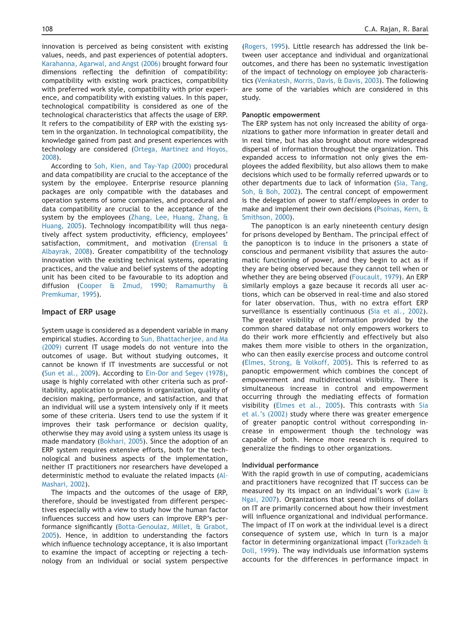innovation is perceived as being consistent with existing values, needs, and past experiences of potential adopters. [Karahanna, Agarwal, and Angst \(2006\)](#page-11-0) brought forward four dimensions reflecting the definition of compatibility: compatibility with existing work practices, compatibility with preferred work style, compatibility with prior experience, and compatibility with existing values. In this paper, technological compatibility is considered as one of the technological characteristics that affects the usage of ERP. It refers to the compatibility of ERP with the existing system in the organization. In technological compatibility, the knowledge gained from past and present experiences with technology are considered [\(Ortega, Martinez and Hoyos,](#page-11-0) [2008](#page-11-0)).

According to [Soh, Kien, and Tay-Yap \(2000\)](#page-12-0) procedural and data compatibility are crucial to the acceptance of the system by the employee. Enterprise resource planning packages are only compatible with the databases and operation systems of some companies, and procedural and data compatibility are crucial to the acceptance of the system by the employees [\(Zhang, Lee, Huang, Zhang, &](#page-12-0) [Huang, 2005\)](#page-12-0). Technology incompatibility will thus negatively affect system productivity, efficiency, employees' satisfaction, commitment, and motivation ([Erensal &](#page-11-0) [Albayrak, 2008\)](#page-11-0). Greater compatibility of the technology innovation with the existing technical systems, operating practices, and the value and belief systems of the adopting unit has been cited to be favourable to its adoption and diffusion [\(Cooper & Zmud, 1990; Ramamurthy &](#page-11-0) [Premkumar, 1995](#page-11-0)).

#### Impact of ERP usage

System usage is considered as a dependent variable in many empirical studies. According to [Sun, Bhattacherjee, and Ma](#page-12-0) [\(2009\)](#page-12-0) current IT usage models do not venture into the outcomes of usage. But without studying outcomes, it cannot be known if IT investments are successful or not [\(Sun et al., 2009](#page-12-0)). According to [Ein-Dor and Segev \(1978\),](#page-11-0) usage is highly correlated with other criteria such as profitability, application to problems in organization, quality of decision making, performance, and satisfaction, and that an individual will use a system intensively only if it meets some of these criteria. Users tend to use the system if it improves their task performance or decision quality, otherwise they may avoid using a system unless its usage is made mandatory [\(Bokhari, 2005\)](#page-10-0). Since the adoption of an ERP system requires extensive efforts, both for the technological and business aspects of the implementation, neither IT practitioners nor researchers have developed a deterministic method to evaluate the related impacts ([Al-](#page-10-0)[Mashari, 2002](#page-10-0)).

The impacts and the outcomes of the usage of ERP, therefore, should be investigated from different perspectives especially with a view to study how the human factor influences success and how users can improve ERP's performance significantly ([Botta-Genoulaz, Millet, & Grabot,](#page-10-0) [2005](#page-10-0)). Hence, in addition to understanding the factors which influence technology acceptance, it is also important to examine the impact of accepting or rejecting a technology from an individual or social system perspective

[\(Rogers, 1995](#page-11-0)). Little research has addressed the link between user acceptance and individual and organizational outcomes, and there has been no systematic investigation of the impact of technology on employee job characteristics [\(Venkatesh, Morris, Davis, & Davis, 2003\)](#page-12-0). The following are some of the variables which are considered in this study.

#### Panoptic empowerment

The ERP system has not only increased the ability of organizations to gather more information in greater detail and in real time, but has also brought about more widespread dispersal of information throughout the organization. This expanded access to information not only gives the employees the added flexibility, but also allows them to make decisions which used to be formally referred upwards or to other departments due to lack of information [\(Sia, Tang,](#page-11-0) [Soh, & Boh, 2002](#page-11-0)). The central concept of empowerment is the delegation of power to staff/employees in order to make and implement their own decisions ([Psoinas, Kern, &](#page-11-0) [Smithson, 2000\)](#page-11-0).

The panopticon is an early nineteenth century design for prisons developed by Bentham. The principal effect of the panopticon is to induce in the prisoners a state of conscious and permanent visibility that assures the automatic functioning of power, and they begin to act as if they are being observed because they cannot tell when or whether they are being observed ([Foucault, 1979](#page-11-0)). An ERP similarly employs a gaze because it records all user actions, which can be observed in real-time and also stored for later observation. Thus, with no extra effort ERP surveillance is essentially continuous ([Sia et al., 2002](#page-11-0)). The greater visibility of information provided by the common shared database not only empowers workers to do their work more efficiently and effectively but also makes them more visible to others in the organization, who can then easily exercise process and outcome control [\(Elmes, Strong, & Volkoff, 2005\)](#page-11-0). This is referred to as panoptic empowerment which combines the concept of empowerment and multidirectional visibility. There is simultaneous increase in control and empowerment occurring through the mediating effects of formation visibility [\(Elmes et al., 2005\)](#page-11-0). This contrasts with [Sia](#page-11-0) [et al.'s \(2002\)](#page-11-0) study where there was greater emergence of greater panoptic control without corresponding increase in empowerment though the technology was capable of both. Hence more research is required to generalize the findings to other organizations.

#### Individual performance

With the rapid growth in use of computing, academicians and practitioners have recognized that IT success can be measured by its impact on an individual's work ([Law &](#page-11-0) [Ngai, 2007\)](#page-11-0). Organizations that spend millions of dollars on IT are primarily concerned about how their investment will influence organizational and individual performance. The impact of IT on work at the individual level is a direct consequence of system use, which in turn is a major factor in determining organizational impact [\(Torkzadeh &](#page-12-0) [Doll, 1999\)](#page-12-0). The way individuals use information systems accounts for the differences in performance impact in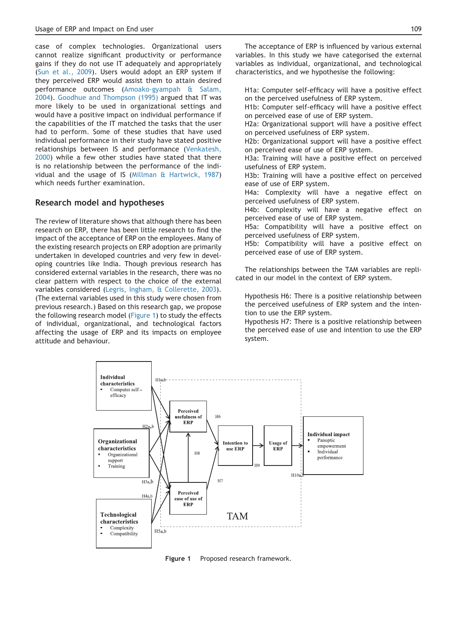case of complex technologies. Organizational users cannot realize significant productivity or performance gains if they do not use IT adequately and appropriately ([Sun et al., 2009\)](#page-12-0). Users would adopt an ERP system if they perceived ERP would assist them to attain desired performance outcomes [\(Amoako-gyampah & Salam,](#page-10-0) [2004](#page-10-0)). [Goodhue and Thompson \(1995\)](#page-11-0) argued that IT was more likely to be used in organizational settings and would have a positive impact on individual performance if the capabilities of the IT matched the tasks that the user had to perform. Some of these studies that have used individual performance in their study have stated positive relationships between IS and performance ([Venkatesh,](#page-12-0) [2000](#page-12-0)) while a few other studies have stated that there is no relationship between the performance of the individual and the usage of IS ([Millman & Hartwick, 1987](#page-11-0)) which needs further examination.

# Research model and hypotheses

The review of literature shows that although there has been research on ERP, there has been little research to find the impact of the acceptance of ERP on the employees. Many of the existing research projects on ERP adoption are primarily undertaken in developed countries and very few in developing countries like India. Though previous research has considered external variables in the research, there was no clear pattern with respect to the choice of the external variables considered ([Legris, Ingham, & Collerette, 2003\)](#page-11-0). (The external variables used in this study were chosen from previous research.) Based on this research gap, we propose the following research model (Figure 1) to study the effects of individual, organizational, and technological factors affecting the usage of ERP and its impacts on employee attitude and behaviour.

H1a: Computer self-efficacy will have a positive effect on the perceived usefulness of ERP system.

H1b: Computer self-efficacy will have a positive effect on perceived ease of use of ERP system.

H2a: Organizational support will have a positive effect on perceived usefulness of ERP system.

H2b: Organizational support will have a positive effect on perceived ease of use of ERP system.

H3a: Training will have a positive effect on perceived usefulness of ERP system.

H3b: Training will have a positive effect on perceived ease of use of ERP system.

H4a: Complexity will have a negative effect on perceived usefulness of ERP system.

H4b: Complexity will have a negative effect on perceived ease of use of ERP system.

H5a: Compatibility will have a positive effect on perceived usefulness of ERP system.

H5b: Compatibility will have a positive effect on perceived ease of use of ERP system.

The relationships between the TAM variables are replicated in our model in the context of ERP system.

Hypothesis H6: There is a positive relationship between the perceived usefulness of ERP system and the intention to use the ERP system.

Hypothesis H7: There is a positive relationship between the perceived ease of use and intention to use the ERP system.



Figure 1 Proposed research framework.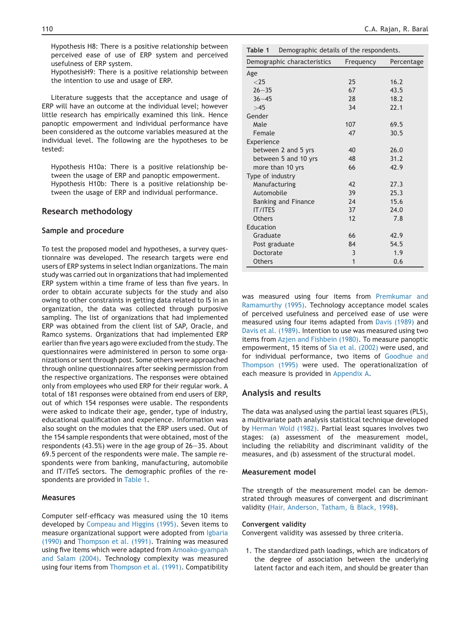Hypothesis H8: There is a positive relationship between perceived ease of use of ERP system and perceived usefulness of ERP system.

HypothesisH9: There is a positive relationship between the intention to use and usage of ERP.

Literature suggests that the acceptance and usage of ERP will have an outcome at the individual level; however little research has empirically examined this link. Hence panoptic empowerment and individual performance have been considered as the outcome variables measured at the individual level. The following are the hypotheses to be tested:

Hypothesis H10a: There is a positive relationship between the usage of ERP and panoptic empowerment. Hypothesis H10b: There is a positive relationship between the usage of ERP and individual performance.

# Research methodology

#### Sample and procedure

To test the proposed model and hypotheses, a survey questionnaire was developed. The research targets were end users of ERP systems in select Indian organizations. The main study was carried out in organizations that had implemented ERP system within a time frame of less than five years. In order to obtain accurate subjects for the study and also owing to other constraints in getting data related to IS in an organization, the data was collected through purposive sampling. The list of organizations that had implemented ERP was obtained from the client list of SAP, Oracle, and Ramco systems. Organizations that had implemented ERP earlier than five years ago were excluded from the study. The questionnaires were administered in person to some organizations or sent through post. Some others were approached through online questionnaires after seeking permission from the respective organizations. The responses were obtained only from employees who used ERP for their regular work. A total of 181 responses were obtained from end users of ERP, out of which 154 responses were usable. The respondents were asked to indicate their age, gender, type of industry, educational qualification and experience. Information was also sought on the modules that the ERP users used. Out of the 154 sample respondents that were obtained, most of the respondents  $(43.5%)$  were in the age group of  $26-35.$  About 69.5 percent of the respondents were male. The sample respondents were from banking, manufacturing, automobile and IT/ITeS sectors. The demographic profiles of the respondents are provided in Table 1.

# Measures

Computer self-efficacy was measured using the 10 items developed by [Compeau and Higgins \(1995\)](#page-11-0). Seven items to measure organizational support were adopted from [Igbaria](#page-11-0) [\(1990\)](#page-11-0) and [Thompson et al. \(1991\).](#page-12-0) Training was measured using five items which were adapted from [Amoako-gyampah](#page-10-0) [and Salam \(2004\).](#page-10-0) Technology complexity was measured using four items from [Thompson et al. \(1991\)](#page-12-0). Compatibility

| Table 1<br>Demographic details of the respondents. |           |            |  |  |
|----------------------------------------------------|-----------|------------|--|--|
| Demographic characteristics                        | Frequency | Percentage |  |  |
| Age                                                |           |            |  |  |
| ${<}25$                                            | 25        | 16.2       |  |  |
| $26 - 35$                                          | 67        | 43.5       |  |  |
| $36 - 45$                                          | 28        | 18.2       |  |  |
| >45                                                | 34        | 22.1       |  |  |
| Gender                                             |           |            |  |  |
| Male                                               | 107       | 69.5       |  |  |
| Female                                             | 47        | 30.5       |  |  |
| Experience                                         |           |            |  |  |
| between 2 and 5 yrs                                | 40        | 26.0       |  |  |
| between 5 and 10 yrs                               | 48        | 31.2       |  |  |
| more than 10 yrs                                   | 66        | 42.9       |  |  |
| Type of industry                                   |           |            |  |  |
| Manufacturing                                      | 47        | 27.3       |  |  |
| Automobile                                         | 39        | 25.3       |  |  |
| <b>Banking and Finance</b>                         | 74        | 15.6       |  |  |
| <b>IT/ITFS</b>                                     | 37        | 24.0       |  |  |
| <b>Others</b>                                      | 12        | 7.8        |  |  |
| Education                                          |           |            |  |  |
| Graduate                                           | 66        | 42.9       |  |  |
| Post graduate                                      | 84        | 54.5       |  |  |
| Doctorate                                          | 3         | 1.9        |  |  |
| <b>Others</b>                                      | 1         | 0.6        |  |  |

was measured using four items from [Premkumar and](#page-11-0) [Ramamurthy \(1995\).](#page-11-0) Technology acceptance model scales of perceived usefulness and perceived ease of use were measured using four items adapted from [Davis \(1989\)](#page-11-0) and [Davis et al. \(1989\).](#page-11-0) Intention to use was measured using two items from [Azjen and Fishbein \(1980\)](#page-10-0). To measure panoptic empowerment, 15 items of [Sia et al. \(2002\)](#page-11-0) were used, and for individual performance, two items of [Goodhue and](#page-11-0) [Thompson \(1995\)](#page-11-0) were used. The operationalization of each measure is provided in [Appendix A.](#page-9-0)

# Analysis and results

The data was analysed using the partial least squares (PLS), a multivariate path analysis statistical technique developed by [Herman Wold \(1982\).](#page-12-0) Partial least squares involves two stages: (a) assessment of the measurement model, including the reliability and discriminant validity of the measures, and (b) assessment of the structural model.

#### Measurement model

The strength of the measurement model can be demonstrated through measures of convergent and discriminant validity ([Hair, Anderson, Tatham, & Black, 1998](#page-11-0)).

#### Convergent validity

Convergent validity was assessed by three criteria.

1. The standardized path loadings, which are indicators of the degree of association between the underlying latent factor and each item, and should be greater than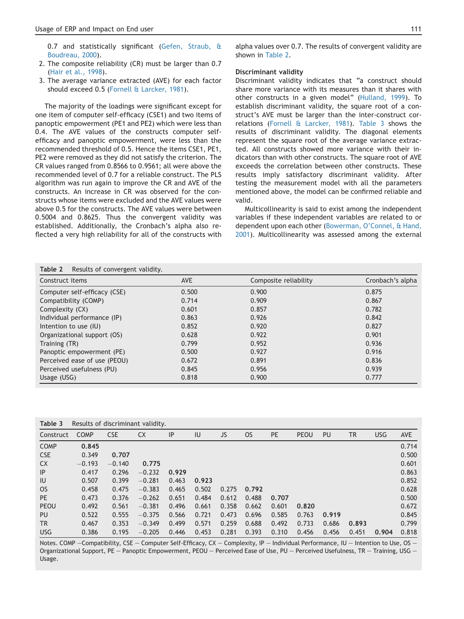0.7 and statistically significant [\(Gefen, Straub, &](#page-11-0) [Boudreau, 2000](#page-11-0)).

- 2. The composite reliability (CR) must be larger than 0.7 ([Hair et al., 1998](#page-11-0)).
- 3. The average variance extracted (AVE) for each factor should exceed 0.5 ([Fornell & Larcker, 1981](#page-11-0)).

The majority of the loadings were significant except for one item of computer self-efficacy (CSE1) and two items of panoptic empowerment (PE1 and PE2) which were less than 0.4. The AVE values of the constructs computer selfefficacy and panoptic empowerment, were less than the recommended threshold of 0.5. Hence the items CSE1, PE1, PE2 were removed as they did not satisfy the criterion. The CR values ranged from 0.8566 to 0.9561; all were above the recommended level of 0.7 for a reliable construct. The PLS algorithm was run again to improve the CR and AVE of the constructs. An increase in CR was observed for the constructs whose items were excluded and the AVE values were above 0.5 for the constructs. The AVE values were between 0.5004 and 0.8625. Thus the convergent validity was established. Additionally, the Cronbach's alpha also reflected a very high reliability for all of the constructs with alpha values over 0.7. The results of convergent validity are shown in Table 2.

#### Discriminant validity

Discriminant validity indicates that "a construct should share more variance with its measures than it shares with other constructs in a given model" [\(Hulland, 1999](#page-11-0)). To establish discriminant validity, the square root of a construct's AVE must be larger than the inter-construct correlations [\(Fornell & Larcker, 1981](#page-11-0)). Table 3 shows the results of discriminant validity. The diagonal elements represent the square root of the average variance extracted. All constructs showed more variance with their indicators than with other constructs. The square root of AVE exceeds the correlation between other constructs. These results imply satisfactory discriminant validity. After testing the measurement model with all the parameters mentioned above, the model can be confirmed reliable and valid.

Multicollinearity is said to exist among the independent variables if these independent variables are related to or dependent upon each other ([Bowerman, O'Connel, & Hand,](#page-10-0) [2001](#page-10-0)). Multicollinearity was assessed among the external

| Table 2<br>Results of convergent validity. |            |                       |                  |
|--------------------------------------------|------------|-----------------------|------------------|
| Construct items                            | <b>AVE</b> | Composite reliability | Cronbach's alpha |
| Computer self-efficacy (CSE)               | 0.500      | 0.900                 | 0.875            |
| Compatibility (COMP)                       | 0.714      | 0.909                 | 0.867            |
| Complexity (CX)                            | 0.601      | 0.857                 | 0.782            |
| Individual performance (IP)                | 0.863      | 0.926                 | 0.842            |
| Intention to use (IU)                      | 0.852      | 0.920                 | 0.827            |
| Organizational support (OS)                | 0.628      | 0.922                 | 0.901            |
| Training (TR)                              | 0.799      | 0.952                 | 0.936            |
| Panoptic empowerment (PE)                  | 0.500      | 0.927                 | 0.916            |
| Perceived ease of use (PEOU)               | 0.672      | 0.891                 | 0.836            |
| Perceived usefulness (PU)                  | 0.845      | 0.956                 | 0.939            |
| Usage (USG)                                | 0.818      | 0.900                 | 0.777            |

| Table 3<br>Results of discriminant validity. |             |            |           |       |       |       |           |       |       |       |           |            |            |
|----------------------------------------------|-------------|------------|-----------|-------|-------|-------|-----------|-------|-------|-------|-----------|------------|------------|
| Construct                                    | <b>COMP</b> | <b>CSE</b> | <b>CX</b> | IP    | IU    | JS    | <b>OS</b> | PE    | PEOU  | PU    | <b>TR</b> | <b>USG</b> | <b>AVE</b> |
| <b>COMP</b>                                  | 0.845       |            |           |       |       |       |           |       |       |       |           |            | 0.714      |
| <b>CSE</b>                                   | 0.349       | 0.707      |           |       |       |       |           |       |       |       |           |            | 0.500      |
| <b>CX</b>                                    | $-0.193$    | $-0.140$   | 0.775     |       |       |       |           |       |       |       |           |            | 0.601      |
| IP                                           | 0.417       | 0.296      | $-0.232$  | 0.929 |       |       |           |       |       |       |           |            | 0.863      |
| IU                                           | 0.507       | 0.399      | $-0.281$  | 0.463 | 0.923 |       |           |       |       |       |           |            | 0.852      |
| <b>OS</b>                                    | 0.458       | 0.475      | $-0.383$  | 0.465 | 0.502 | 0.275 | 0.792     |       |       |       |           |            | 0.628      |
| <b>PE</b>                                    | 0.473       | 0.376      | $-0.262$  | 0.651 | 0.484 | 0.612 | 0.488     | 0.707 |       |       |           |            | 0.500      |
| PEOU                                         | 0.492       | 0.561      | $-0.381$  | 0.496 | 0.661 | 0.358 | 0.662     | 0.601 | 0.820 |       |           |            | 0.672      |
| <b>PU</b>                                    | 0.522       | 0.555      | $-0.375$  | 0.566 | 0.721 | 0.473 | 0.696     | 0.585 | 0.763 | 0.919 |           |            | 0.845      |
| <b>TR</b>                                    | 0.467       | 0.353      | $-0.349$  | 0.499 | 0.571 | 0.259 | 0.688     | 0.492 | 0.733 | 0.686 | 0.893     |            | 0.799      |
| <b>USG</b>                                   | 0.386       | 0.195      | $-0.205$  | 0.446 | 0.453 | 0.281 | 0.393     | 0.310 | 0.456 | 0.456 | 0.451     | 0.904      | 0.818      |

Notes. COMP -Compatibility, CSE - Computer Self-Efficacy, CX - Complexity, IP - Individual Performance, IU - Intention to Use, OS -Organizational Support, PE - Panoptic Empowerment, PEOU - Perceived Ease of Use, PU - Perceived Usefulness, TR - Training, USG -Usage.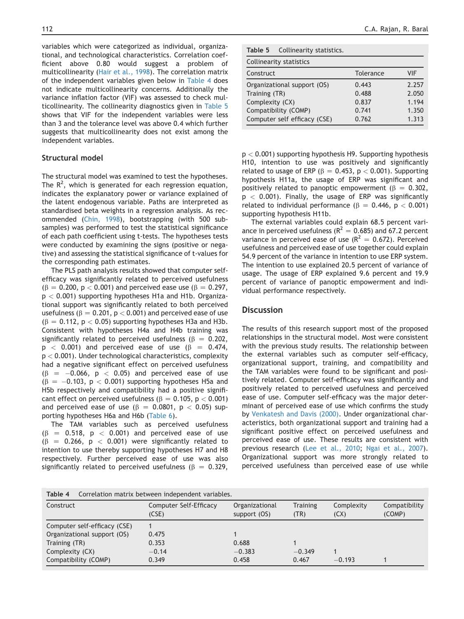variables which were categorized as individual, organizational, and technological characteristics. Correlation coefficient above 0.80 would suggest a problem of multicollinearity ([Hair et al., 1998](#page-11-0)). The correlation matrix of the independent variables given below in Table 4 does not indicate multicollinearity concerns. Additionally the variance inflation factor (VIF) was assessed to check multicollinearity. The collinearity diagnostics given in Table 5 shows that VIF for the independent variables were less than 3 and the tolerance level was above 0.4 which further suggests that multicollinearity does not exist among the independent variables.

# Structural model

The structural model was examined to test the hypotheses. The  $R^2$ , which is generated for each regression equation, indicates the explanatory power or variance explained of the latent endogenous variable. Paths are interpreted as standardised beta weights in a regression analysis. As recommended ([Chin, 1998\)](#page-11-0), bootstrapping (with 500 subsamples) was performed to test the statistical significance of each path coefficient using t-tests. The hypotheses tests were conducted by examining the signs (positive or negative) and assessing the statistical significance of t-values for the corresponding path estimates.

The PLS path analysis results showed that computer selfefficacy was significantly related to perceived usefulness  $(\beta = 0.200, p < 0.001)$  and perceived ease use ( $\beta = 0.297$ ,  $p < 0.001$ ) supporting hypotheses H1a and H1b. Organizational support was significantly related to both perceived usefulness ( $\beta = 0.201$ ,  $p < 0.001$ ) and perceived ease of use  $(6 = 0.112, p < 0.05)$  supporting hypotheses H3a and H3b. Consistent with hypotheses H4a and H4b training was significantly related to perceived usefulness ( $\beta = 0.202$ ,  $p$  < 0.001) and perceived ease of use ( $\beta$  = 0.474,  $p < 0.001$ ). Under technological characteristics, complexity had a negative significant effect on perceived usefulness  $(\beta = -0.066, p < 0.05)$  and perceived ease of use  $(\beta = -0.103, p < 0.001)$  supporting hypotheses H5a and H5b respectively and compatibility had a positive significant effect on perceived usefulness ( $\beta = 0.105$ , p < 0.001) and perceived ease of use ( $\beta = 0.0801$ ,  $p < 0.05$ ) supporting hypotheses H6a and H6b ([Table 6](#page-8-0)).

The TAM variables such as perceived usefulness  $(\beta = 0.518, p < 0.001)$  and perceived ease of use  $(\beta = 0.266, p < 0.001)$  were significantly related to intention to use thereby supporting hypotheses H7 and H8 respectively. Further perceived ease of use was also significantly related to perceived usefulness ( $\beta = 0.329$ ,

| Table 5<br>Collinearity statistics. |  |
|-------------------------------------|--|
|-------------------------------------|--|

| Collinearity statistics      |           |       |
|------------------------------|-----------|-------|
| Construct                    | Tolerance | VIF   |
| Organizational support (OS)  | 0.443     | 2.257 |
| Training (TR)                | 0.488     | 2.050 |
| Complexity (CX)              | 0.837     | 1.194 |
| Compatibility (COMP)         | 0.741     | 1.350 |
| Computer self efficacy (CSE) | 0.762     | 1.313 |

p < 0.001) supporting hypothesis H9. Supporting hypothesis H10, intention to use was positively and significantly related to usage of ERP ( $\beta = 0.453$ ,  $p < 0.001$ ). Supporting hypothesis H11a, the usage of ERP was significant and positively related to panoptic empowerment ( $\beta = 0.302$ ,  $p < 0.001$ ). Finally, the usage of ERP was significantly related to individual performance ( $\beta = 0.446$ , p < 0.001) supporting hypothesis H11b.

The external variables could explain 68.5 percent variance in perceived usefulness ( $R^2 = 0.685$ ) and 67.2 percent variance in perceived ease of use  $(R^2 = 0.672)$ . Perceived usefulness and perceived ease of use together could explain 54.9 percent of the variance in intention to use ERP system. The intention to use explained 20.5 percent of variance of usage. The usage of ERP explained 9.6 percent and 19.9 percent of variance of panoptic empowerment and individual performance respectively.

# **Discussion**

The results of this research support most of the proposed relationships in the structural model. Most were consistent with the previous study results. The relationship between the external variables such as computer self-efficacy, organizational support, training, and compatibility and the TAM variables were found to be significant and positively related. Computer self-efficacy was significantly and positively related to perceived usefulness and perceived ease of use. Computer self-efficacy was the major determinant of perceived ease of use which confirms the study by [Venkatesh and Davis \(2000\).](#page-12-0) Under organizational characteristics, both organizational support and training had a significant positive effect on perceived usefulness and perceived ease of use. These results are consistent with previous research [\(Lee et al., 2010](#page-11-0); [Ngai et al., 2007](#page-11-0)). Organizational support was more strongly related to perceived usefulness than perceived ease of use while

| Table 4                      | Correlation matrix between independent variables. |                                |                         |                    |                         |
|------------------------------|---------------------------------------------------|--------------------------------|-------------------------|--------------------|-------------------------|
| Construct                    | Computer Self-Efficacy<br>(CSE)                   | Organizational<br>support (OS) | <b>Training</b><br>(TR) | Complexity<br>(CX) | Compatibility<br>(COMP) |
| Computer self-efficacy (CSE) |                                                   |                                |                         |                    |                         |
| Organizational support (OS)  | 0.475                                             |                                |                         |                    |                         |
| Training (TR)                | 0.353                                             | 0.688                          |                         |                    |                         |
| Complexity (CX)              | $-0.14$                                           | $-0.383$                       | $-0.349$                |                    |                         |
| Compatibility (COMP)         | 0.349                                             | 0.458                          | 0.467                   | $-0.193$           |                         |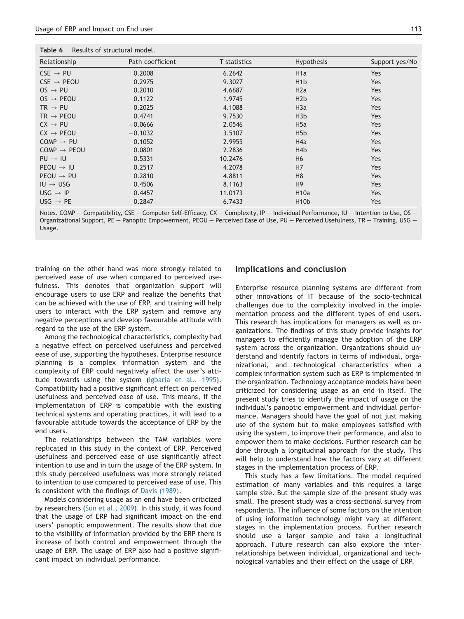<span id="page-8-0"></span>

| Results of structural model. |                     |                   |                |
|------------------------------|---------------------|-------------------|----------------|
| Path coefficient             | <b>T</b> statistics | <b>Hypothesis</b> | Support yes/No |
| 0.2008                       | 6.2642              | H <sub>1</sub> a  | Yes            |
| 0.2975                       | 9.3027              | H <sub>1</sub> b  | Yes            |
| 0.2010                       | 4.6687              | H2a               | Yes            |
| 0.1122                       | 1.9745              | H2b               | Yes            |
| 0.2025                       | 4.1088              | H <sub>3</sub> a  | Yes            |
| 0.4741                       | 9.7530              | H3b               | Yes            |
| $-0.0666$                    | 2.0546              | H <sub>5a</sub>   | Yes            |
| $-0.1032$                    | 3.5107              | H5b               | Yes            |
| 0.1052                       | 2.9955              | H4a               | Yes            |
| 0.0801                       | 2.2836              | H <sub>4</sub> b  | Yes            |
| 0.5331                       | 10.2476             | H <sub>6</sub>    | Yes            |
| 0.2517                       | 4.2078              | H7                | Yes            |
| 0.2810                       | 4.8811              | H <sub>8</sub>    | Yes            |
| 0.4506                       | 8.1163              | H <sup>9</sup>    | Yes            |
| 0.4457                       | 11.0173             | <b>H10a</b>       | Yes            |
| 0.2847                       | 6.7433              | H <sub>10</sub> b | Yes            |
|                              |                     |                   |                |

Notes. COMP - Compatibility, CSE - Computer Self-Efficacy, CX - Complexity, IP - Individual Performance, IU - Intention to Use, OS -Organizational Support, PE - Panoptic Empowerment, PEOU - Perceived Ease of Use, PU - Perceived Usefulness, TR - Training, USG -Usage.

training on the other hand was more strongly related to perceived ease of use when compared to perceived usefulness. This denotes that organization support will encourage users to use ERP and realize the benefits that can be achieved with the use of ERP, and training will help users to interact with the ERP system and remove any negative perceptions and develop favourable attitude with regard to the use of the ERP system.

Among the technological characteristics, complexity had a negative effect on perceived usefulness and perceived ease of use, supporting the hypotheses. Enterprise resource planning is a complex information system and the complexity of ERP could negatively affect the user's attitude towards using the system [\(Igbaria et al., 1995\)](#page-11-0). Compatibility had a positive significant effect on perceived usefulness and perceived ease of use. This means, if the implementation of ERP is compatible with the existing technical systems and operating practices, it will lead to a favourable attitude towards the acceptance of ERP by the end users.

The relationships between the TAM variables were replicated in this study in the context of ERP. Perceived usefulness and perceived ease of use significantly affect intention to use and in turn the usage of the ERP system. In this study perceived usefulness was more strongly related to intention to use compared to perceived ease of use. This is consistent with the findings of [Davis \(1989\).](#page-11-0)

Models considering usage as an end have been criticized by researchers ([Sun et al., 2009](#page-12-0)). In this study, it was found that the usage of ERP had significant impact on the end users' panoptic empowerment. The results show that due to the visibility of information provided by the ERP there is increase of both control and empowerment through the usage of ERP. The usage of ERP also had a positive significant impact on individual performance.

# Implications and conclusion

Enterprise resource planning systems are different from other innovations of IT because of the socio-technical challenges due to the complexity involved in the implementation process and the different types of end users. This research has implications for managers as well as organizations. The findings of this study provide insights for managers to efficiently manage the adoption of the ERP system across the organization. Organizations should understand and identify factors in terms of individual, organizational, and technological characteristics when a complex information system such as ERP is implemented in the organization. Technology acceptance models have been criticized for considering usage as an end in itself. The present study tries to identify the impact of usage on the individual's panoptic empowerment and individual performance. Managers should have the goal of not just making use of the system but to make employees satisfied with using the system, to improve their performance, and also to empower them to make decisions. Further research can be done through a longitudinal approach for the study. This will help to understand how the factors vary at different stages in the implementation process of ERP.

This study has a few limitations. The model required estimation of many variables and this requires a large sample size. But the sample size of the present study was small. The present study was a cross-sectional survey from respondents. The influence of some factors on the intention of using information technology might vary at different stages in the implementation process. Further research should use a larger sample and take a longitudinal approach. Future research can also explore the interrelationships between individual, organizational and technological variables and their effect on the usage of ERP.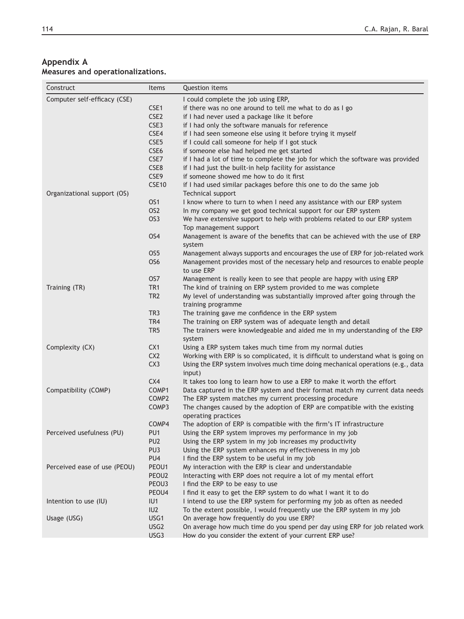# <span id="page-9-0"></span>Appendix A Measures and operationalizations.

| Construct                    | Items             | Question items                                                                     |
|------------------------------|-------------------|------------------------------------------------------------------------------------|
| Computer self-efficacy (CSE) |                   | I could complete the job using ERP,                                                |
|                              | CSE1              | if there was no one around to tell me what to do as I go                           |
|                              | CSE <sub>2</sub>  | if I had never used a package like it before                                       |
|                              | CSE3              | if I had only the software manuals for reference                                   |
|                              | CSE4              | if I had seen someone else using it before trying it myself                        |
|                              | CSE <sub>5</sub>  | if I could call someone for help if I got stuck                                    |
|                              | CSE6              | if someone else had helped me get started                                          |
|                              | CSE7              | if I had a lot of time to complete the job for which the software was provided     |
|                              | CSE8              | if I had just the built-in help facility for assistance                            |
|                              | CSE9              | if someone showed me how to do it first                                            |
|                              | <b>CSE10</b>      | if I had used similar packages before this one to do the same job                  |
| Organizational support (OS)  |                   | Technical support                                                                  |
|                              | OS <sub>1</sub>   | I know where to turn to when I need any assistance with our ERP system             |
|                              | OS <sub>2</sub>   | In my company we get good technical support for our ERP system                     |
|                              | OS <sub>3</sub>   | We have extensive support to help with problems related to our ERP system          |
|                              |                   | Top management support                                                             |
|                              | OS4               | Management is aware of the benefits that can be achieved with the use of ERP       |
|                              |                   | system                                                                             |
|                              | OS <sub>5</sub>   | Management always supports and encourages the use of ERP for job-related work      |
|                              | OS <sub>6</sub>   | Management provides most of the necessary help and resources to enable people      |
|                              |                   | to use ERP                                                                         |
|                              | OS7               | Management is really keen to see that people are happy with using ERP              |
| Training (TR)                | TR <sub>1</sub>   | The kind of training on ERP system provided to me was complete                     |
|                              | TR <sub>2</sub>   | My level of understanding was substantially improved after going through the       |
|                              |                   | training programme                                                                 |
|                              | TR <sub>3</sub>   | The training gave me confidence in the ERP system                                  |
|                              | TR4               | The training on ERP system was of adequate length and detail                       |
|                              | TR <sub>5</sub>   | The trainers were knowledgeable and aided me in my understanding of the ERP        |
|                              |                   | system                                                                             |
| Complexity (CX)              | CX <sub>1</sub>   | Using a ERP system takes much time from my normal duties                           |
|                              | CX <sub>2</sub>   | Working with ERP is so complicated, it is difficult to understand what is going on |
|                              | CX <sub>3</sub>   | Using the ERP system involves much time doing mechanical operations (e.g., data    |
|                              |                   | input)                                                                             |
|                              | CX4               | It takes too long to learn how to use a ERP to make it worth the effort            |
| Compatibility (COMP)         | COMP1             | Data captured in the ERP system and their format match my current data needs       |
|                              | COMP <sub>2</sub> | The ERP system matches my current processing procedure                             |
|                              | COMP3             | The changes caused by the adoption of ERP are compatible with the existing         |
|                              |                   | operating practices                                                                |
|                              | COMP4             | The adoption of ERP is compatible with the firm's IT infrastructure                |
| Perceived usefulness (PU)    | PU1               | Using the ERP system improves my performance in my job                             |
|                              | PU <sub>2</sub>   | Using the ERP system in my job increases my productivity                           |
|                              | PU <sub>3</sub>   | Using the ERP system enhances my effectiveness in my job                           |
|                              | PU4               | I find the ERP system to be useful in my job                                       |
| Perceived ease of use (PEOU) | PEOU1             | My interaction with the ERP is clear and understandable                            |
|                              | PEOU2             | Interacting with ERP does not require a lot of my mental effort                    |
|                              | PEOU3             | I find the ERP to be easy to use                                                   |
|                              | PEOU4             | I find it easy to get the ERP system to do what I want it to do                    |
| Intention to use (IU)        | IU1               | I intend to use the ERP system for performing my job as often as needed            |
|                              | IU2               | To the extent possible, I would frequently use the ERP system in my job            |
| Usage (USG)                  | USG1              | On average how frequently do you use ERP?                                          |
|                              | USG <sub>2</sub>  | On average how much time do you spend per day using ERP for job related work       |
|                              | USG3              | How do you consider the extent of your current ERP use?                            |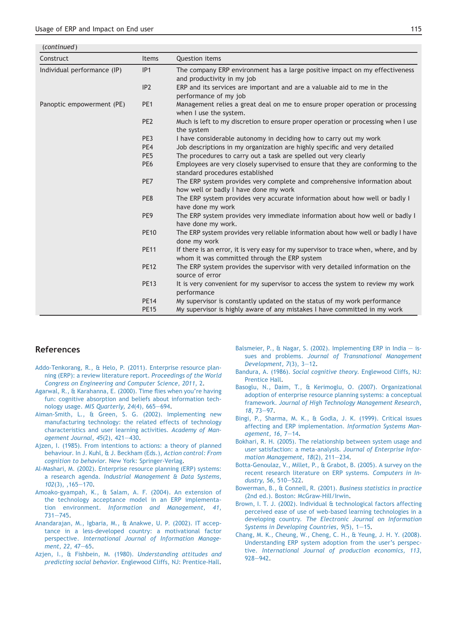<span id="page-10-0"></span>

| (continued)                 |                 |                                                                                                    |
|-----------------------------|-----------------|----------------------------------------------------------------------------------------------------|
| Construct                   | Items           | Question items                                                                                     |
| Individual performance (IP) | IP1             | The company ERP environment has a large positive impact on my effectiveness                        |
|                             |                 | and productivity in my job                                                                         |
|                             | IP <sub>2</sub> | ERP and its services are important and are a valuable aid to me in the                             |
|                             |                 | performance of my job                                                                              |
| Panoptic empowerment (PE)   | PE <sub>1</sub> | Management relies a great deal on me to ensure proper operation or processing                      |
|                             |                 | when I use the system.                                                                             |
|                             | PE <sub>2</sub> | Much is left to my discretion to ensure proper operation or processing when I use                  |
|                             |                 | the system                                                                                         |
|                             | PE3             | I have considerable autonomy in deciding how to carry out my work                                  |
|                             | PE4             | Job descriptions in my organization are highly specific and very detailed                          |
|                             | PE <sub>5</sub> | The procedures to carry out a task are spelled out very clearly                                    |
|                             | PE <sub>6</sub> | Employees are very closely supervised to ensure that they are conforming to the                    |
|                             |                 | standard procedures established                                                                    |
|                             | PE7             | The ERP system provides very complete and comprehensive information about                          |
|                             |                 | how well or badly I have done my work                                                              |
|                             | PE8             | The ERP system provides very accurate information about how well or badly I                        |
|                             |                 | have done my work                                                                                  |
|                             | PE <sub>9</sub> | The ERP system provides very immediate information about how well or badly I<br>have done my work. |
|                             | <b>PE10</b>     | The ERP system provides very reliable information about how well or badly I have                   |
|                             |                 | done my work                                                                                       |
|                             | <b>PE11</b>     | If there is an error, it is very easy for my supervisor to trace when, where, and by               |
|                             |                 | whom it was committed through the ERP system                                                       |
|                             | <b>PE12</b>     | The ERP system provides the supervisor with very detailed information on the                       |
|                             |                 | source of error                                                                                    |
|                             | <b>PE13</b>     | It is very convenient for my supervisor to access the system to review my work                     |
|                             |                 | performance                                                                                        |
|                             | <b>PE14</b>     | My supervisor is constantly updated on the status of my work performance                           |
|                             | <b>PE15</b>     | My supervisor is highly aware of any mistakes I have committed in my work                          |

# References

- [Addo-Tenkorang, R., & Helo, P. \(2011\). Enterprise resource plan](http://refhub.elsevier.com/S0970-3896(15)00041-5/sref1)[ning \(ERP\): a review literature report.](http://refhub.elsevier.com/S0970-3896(15)00041-5/sref1) Proceedings of the World [Congress on Engineering and Computer Science, 2011](http://refhub.elsevier.com/S0970-3896(15)00041-5/sref1), 2.
- [Agarwal, R., & Karahanna, E. \(2000\). Time flies when you're having](http://refhub.elsevier.com/S0970-3896(15)00041-5/sref2) [fun: cognitive absorption and beliefs about information tech](http://refhub.elsevier.com/S0970-3896(15)00041-5/sref2)nology usage. MIS Quarterly,  $24(4)$ ,  $665-694$  $665-694$ .
- [Aiman-Smith, L., & Green, S. G. \(2002\). Implementing new](http://refhub.elsevier.com/S0970-3896(15)00041-5/sref3) [manufacturing technology: the related effects of technology](http://refhub.elsevier.com/S0970-3896(15)00041-5/sref3) [characteristics and user learning activities.](http://refhub.elsevier.com/S0970-3896(15)00041-5/sref3) Academy of Management Journal,  $45(2)$ ,  $421-430$  $421-430$ .
- [Ajzen, I. \(1985\). From intentions to actions: a theory of planned](http://refhub.elsevier.com/S0970-3896(15)00041-5/sref4) [behaviour. In J. Kuhl, & J. Beckham \(Eds.\),](http://refhub.elsevier.com/S0970-3896(15)00041-5/sref4) Action control: From cognition to behavior[. New York: Springer-Verlag](http://refhub.elsevier.com/S0970-3896(15)00041-5/sref4).
- [Al-Mashari, M. \(2002\). Enterprise resource planning \(ERP\) systems:](http://refhub.elsevier.com/S0970-3896(15)00041-5/sref5) a research agenda. [Industrial Management & Data Systems,](http://refhub.elsevier.com/S0970-3896(15)00041-5/sref5)  $102(3)$ ,  $165-170$ .
- [Amoako-gyampah, K., & Salam, A. F. \(2004\). An extension of](http://refhub.elsevier.com/S0970-3896(15)00041-5/sref6) [the technology acceptance model in an ERP implementa](http://refhub.elsevier.com/S0970-3896(15)00041-5/sref6)tion environment. [Information and Management, 41](http://refhub.elsevier.com/S0970-3896(15)00041-5/sref6),  $731 - 745.$  $731 - 745.$  $731 - 745.$
- [Anandarajan, M., Igbaria, M., & Anakwe, U. P. \(2002\). IT accep](http://refhub.elsevier.com/S0970-3896(15)00041-5/sref7)[tance in a less-developed country: a motivational factor](http://refhub.elsevier.com/S0970-3896(15)00041-5/sref7) perspective. [International Journal of Information Manage](http://refhub.elsevier.com/S0970-3896(15)00041-5/sref7)[ment, 22](http://refhub.elsevier.com/S0970-3896(15)00041-5/sref7), 47-[65.](http://refhub.elsevier.com/S0970-3896(15)00041-5/sref7)
- [Azjen, I., & Fishbein, M. \(1980\).](http://refhub.elsevier.com/S0970-3896(15)00041-5/sref8) Understanding attitudes and predicting social behavior[. Englewood Cliffs, NJ: Prentice-Hall.](http://refhub.elsevier.com/S0970-3896(15)00041-5/sref8)
- [Balsmeier, P., & Nagar, S. \(2002\). Implementing ERP in India](http://refhub.elsevier.com/S0970-3896(15)00041-5/sref9)  $-$  [is](http://refhub.elsevier.com/S0970-3896(15)00041-5/sref9)sues and problems. [Journal of Transnational Management](http://refhub.elsevier.com/S0970-3896(15)00041-5/sref9) Development,  $7(3)$ ,  $3-12$  $3-12$ .
- Bandura, A. (1986). [Social cognitive theory](http://refhub.elsevier.com/S0970-3896(15)00041-5/sref10). Englewood Cliffs, NJ: [Prentice Hall.](http://refhub.elsevier.com/S0970-3896(15)00041-5/sref10)
- [Basoglu, N., Daim, T., & Kerimoglu, O. \(2007\). Organizational](http://refhub.elsevier.com/S0970-3896(15)00041-5/sref11) [adoption of enterprise resource planning systems: a conceptual](http://refhub.elsevier.com/S0970-3896(15)00041-5/sref11) framework. [Journal of High Technology Management Research,](http://refhub.elsevier.com/S0970-3896(15)00041-5/sref11) 18[, 73](http://refhub.elsevier.com/S0970-3896(15)00041-5/sref11)-[97.](http://refhub.elsevier.com/S0970-3896(15)00041-5/sref11)
- [Bingi, P., Sharma, M. K., & Godla, J. K. \(1999\). Critical issues](http://refhub.elsevier.com/S0970-3896(15)00041-5/sref12) [affecting and ERP implementation.](http://refhub.elsevier.com/S0970-3896(15)00041-5/sref12) Information Systems Management,  $16, 7-14$  $16, 7-14$ .
- [Bokhari, R. H. \(2005\). The relationship between system usage and](http://refhub.elsevier.com/S0970-3896(15)00041-5/sref13) [user satisfaction: a meta-analysis.](http://refhub.elsevier.com/S0970-3896(15)00041-5/sref13) Journal of Enterprise Information Management,  $18(2)$ ,  $211-234$  $211-234$ .
- [Botta-Genoulaz, V., Millet, P., & Grabot, B. \(2005\). A survey on the](http://refhub.elsevier.com/S0970-3896(15)00041-5/sref14) [recent research literature on ERP systems.](http://refhub.elsevier.com/S0970-3896(15)00041-5/sref14) Computers in Industry,  $56, 510 - 522$ .
- [Bowerman, B., & Connell, R. \(2001\).](http://refhub.elsevier.com/S0970-3896(15)00041-5/sref85) Business statistics in practice [\(2nd ed.\). Boston: McGraw-Hill/Irwin.](http://refhub.elsevier.com/S0970-3896(15)00041-5/sref85)
- [Brown, I. T. J. \(2002\). Individual & technological factors affecting](http://refhub.elsevier.com/S0970-3896(15)00041-5/sref2a) [perceived ease of use of web-based learning technologies in a](http://refhub.elsevier.com/S0970-3896(15)00041-5/sref2a) developing country. [The Electronic Journal on Information](http://refhub.elsevier.com/S0970-3896(15)00041-5/sref2a) Systems in Developing Countries,  $9(5)$ , 1-[15](http://refhub.elsevier.com/S0970-3896(15)00041-5/sref2a).
- [Chang, M. K., Cheung, W., Cheng, C. H., & Yeung, J. H. Y. \(2008\).](http://refhub.elsevier.com/S0970-3896(15)00041-5/sref15) [Understanding ERP system adoption from the user's perspec](http://refhub.elsevier.com/S0970-3896(15)00041-5/sref15)tive. [International Journal of production economics, 113](http://refhub.elsevier.com/S0970-3896(15)00041-5/sref15),  $928 - 942$  $928 - 942$  $928 - 942$ .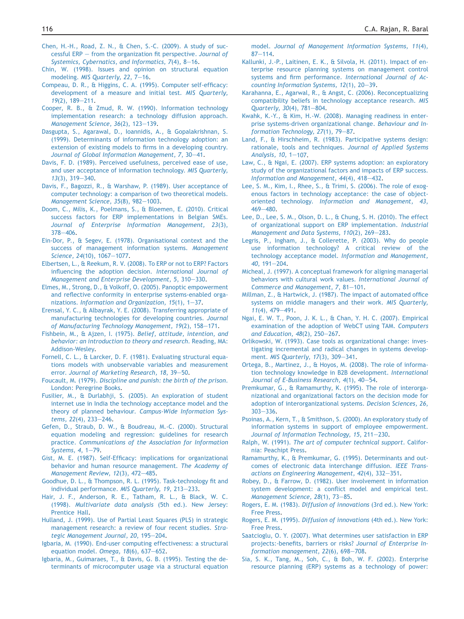- <span id="page-11-0"></span>[Chen, H.-H., Road, Z. N., & Chen, S.-C. \(2009\). A study of suc](http://refhub.elsevier.com/S0970-3896(15)00041-5/sref16)cessful  $ERP - from the organization fit perspective. *Journal of*$  $ERP - from the organization fit perspective. *Journal of*$  $ERP - from the organization fit perspective. *Journal of*$ Systemics, Cybernatics, and Informatics,  $7(4)$ ,  $8-16$ .
- [Chin, W. \(1998\). Issues and opinion on structural equation](http://refhub.elsevier.com/S0970-3896(15)00041-5/sref17) modeling. [MIS Quarterly, 22](http://refhub.elsevier.com/S0970-3896(15)00041-5/sref17), 7-[16.](http://refhub.elsevier.com/S0970-3896(15)00041-5/sref17)
- [Compeau, D. R., & Higgins, C. A. \(1995\). Computer self-efficacy:](http://refhub.elsevier.com/S0970-3896(15)00041-5/sref18) [development of a measure and initial test.](http://refhub.elsevier.com/S0970-3896(15)00041-5/sref18) MIS Quarterly,  $19(2)$ ,  $189-211$  $189-211$ .
- [Cooper, R. B., & Zmud, R. W. \(1990\). Information technology](http://refhub.elsevier.com/S0970-3896(15)00041-5/sref19) [implementation research: a technology diffusion approach.](http://refhub.elsevier.com/S0970-3896(15)00041-5/sref19) Management Science,  $36(2)$ ,  $123-139$ .
- [Dasgupta, S., Agarawal, D., Ioannidis, A., & Gopalakrishnan, S.](http://refhub.elsevier.com/S0970-3896(15)00041-5/sref20) [\(1999\). Determinants of information technology adoption: an](http://refhub.elsevier.com/S0970-3896(15)00041-5/sref20) [extension of existing models to firms in a developing country.](http://refhub.elsevier.com/S0970-3896(15)00041-5/sref20) [Journal of Global Information Management, 7](http://refhub.elsevier.com/S0970-3896(15)00041-5/sref20), 30-[41.](http://refhub.elsevier.com/S0970-3896(15)00041-5/sref20)
- [Davis, F. D. \(1989\). Perceived usefulness, perceived ease of use,](http://refhub.elsevier.com/S0970-3896(15)00041-5/sref21) [and user acceptance of information technology.](http://refhub.elsevier.com/S0970-3896(15)00041-5/sref21) MIS Quarterly,  $13(3)$ ,  $319-340$  $319-340$ .
- [Davis, F., Bagozzi, R., & Warshaw, P. \(1989\). User acceptance of](http://refhub.elsevier.com/S0970-3896(15)00041-5/sref3a) [computer technology: a comparison of two theoretical models.](http://refhub.elsevier.com/S0970-3896(15)00041-5/sref3a) [Management Science, 35](http://refhub.elsevier.com/S0970-3896(15)00041-5/sref3a)(8), 982-[1003](http://refhub.elsevier.com/S0970-3896(15)00041-5/sref3a).
- [Doom, C., Milis, K., Poelmans, S., & Bloemen, E. \(2010\). Critical](http://refhub.elsevier.com/S0970-3896(15)00041-5/sref22) [success factors for ERP implementations in Belgian SMEs.](http://refhub.elsevier.com/S0970-3896(15)00041-5/sref22) [Journal of Enterprise Information Management, 23](http://refhub.elsevier.com/S0970-3896(15)00041-5/sref22)(3),  $378 - 406$  $378 - 406$ .
- [Ein-Dor, P., & Segev, E. \(1978\). Organisational context and the](http://refhub.elsevier.com/S0970-3896(15)00041-5/sref23) [success of management information systems.](http://refhub.elsevier.com/S0970-3896(15)00041-5/sref23) Management [Science, 24](http://refhub.elsevier.com/S0970-3896(15)00041-5/sref23)(10), 1067-[1077.](http://refhub.elsevier.com/S0970-3896(15)00041-5/sref23)
- [Elbertsen, L., & Reekum, R. V. \(2008\). To ERP or not to ERP? Factors](http://refhub.elsevier.com/S0970-3896(15)00041-5/sref24) [influencing the adoption decision.](http://refhub.elsevier.com/S0970-3896(15)00041-5/sref24) International Journal of [Management and Enterprise Development, 5](http://refhub.elsevier.com/S0970-3896(15)00041-5/sref24), 310-[330](http://refhub.elsevier.com/S0970-3896(15)00041-5/sref24).
- [Elmes, M., Strong, D., & Volkoff, O. \(2005\). Panoptic empowerment](http://refhub.elsevier.com/S0970-3896(15)00041-5/sref25) [and reflective conformity in enterprise systems-enabled orga](http://refhub.elsevier.com/S0970-3896(15)00041-5/sref25)nizations. Information and Organization,  $15(1)$ ,  $1-37$  $1-37$ .
- [Erensal, Y. C., & Albayrak, Y. E. \(2008\). Transferring appropriate of](http://refhub.elsevier.com/S0970-3896(15)00041-5/sref26) [manufacturing technologies for developing countries.](http://refhub.elsevier.com/S0970-3896(15)00041-5/sref26) Journal [of Manufacturing Technology Management, 19](http://refhub.elsevier.com/S0970-3896(15)00041-5/sref26)(2), 158-[171](http://refhub.elsevier.com/S0970-3896(15)00041-5/sref26).
- [Fishbein, M., & Ajzen, I. \(1975\).](http://refhub.elsevier.com/S0970-3896(15)00041-5/sref27) Belief, attitude, intention, and [behavior: an introduction to theory and research](http://refhub.elsevier.com/S0970-3896(15)00041-5/sref27). Reading, MA: [Addison-Wesley.](http://refhub.elsevier.com/S0970-3896(15)00041-5/sref27)
- [Fornell, C. L., & Larcker, D. F. \(1981\). Evaluating structural equa](http://refhub.elsevier.com/S0970-3896(15)00041-5/sref28)[tions models with unobservable variables and measurement](http://refhub.elsevier.com/S0970-3896(15)00041-5/sref28) error. [Journal of Marketing Research, 18](http://refhub.elsevier.com/S0970-3896(15)00041-5/sref28), 39-[50](http://refhub.elsevier.com/S0970-3896(15)00041-5/sref28).
- Foucault, M. (1979). [Discipline and punish: the birth of the prison](http://refhub.elsevier.com/S0970-3896(15)00041-5/sref29). [London: Peregrine Books](http://refhub.elsevier.com/S0970-3896(15)00041-5/sref29).
- [Fusilier, M., & Durlabhji, S. \(2005\). An exploration of student](http://refhub.elsevier.com/S0970-3896(15)00041-5/sref30) [internet use in India the technology acceptance model and the](http://refhub.elsevier.com/S0970-3896(15)00041-5/sref30) theory of planned behaviour. [Campus-Wide Information Sys](http://refhub.elsevier.com/S0970-3896(15)00041-5/sref30)tems,  $22(4)$ ,  $233-246$  $233-246$ .
- [Gefen, D., Straub, D. W., & Boudreau, M.-C. \(2000\). Structural](http://refhub.elsevier.com/S0970-3896(15)00041-5/sref31) [equation modeling and regression: guidelines for research](http://refhub.elsevier.com/S0970-3896(15)00041-5/sref31) practice. [Communications of the Association for Information](http://refhub.elsevier.com/S0970-3896(15)00041-5/sref31) Systems,  $4, 1-79$ .
- [Gist, M. E. \(1987\). Self-Efficacy: implications for organizational](http://refhub.elsevier.com/S0970-3896(15)00041-5/sref32) [behavior and human resource management.](http://refhub.elsevier.com/S0970-3896(15)00041-5/sref32) The Academy of [Management Review, 12](http://refhub.elsevier.com/S0970-3896(15)00041-5/sref32)(3), 472-[485](http://refhub.elsevier.com/S0970-3896(15)00041-5/sref32).
- [Goodhue, D. L., & Thompson, R. L. \(1995\). Task-technology fit and](http://refhub.elsevier.com/S0970-3896(15)00041-5/sref33) [individual performance.](http://refhub.elsevier.com/S0970-3896(15)00041-5/sref33) MIS Quarterly, 19, 213-[233](http://refhub.elsevier.com/S0970-3896(15)00041-5/sref33).
- [Hair, J. F., Anderson, R. E., Tatham, R. L., & Black, W. C.](http://refhub.elsevier.com/S0970-3896(15)00041-5/sref34) (1998). [Multivariate data analysis](http://refhub.elsevier.com/S0970-3896(15)00041-5/sref34) (5th ed.). New Jersey: [Prentice Hall](http://refhub.elsevier.com/S0970-3896(15)00041-5/sref34).
- [Hulland, J. \(1999\). Use of Partial Least Squares \(PLS\) in strategic](http://refhub.elsevier.com/S0970-3896(15)00041-5/sref35) [management research: a review of four recent studies.](http://refhub.elsevier.com/S0970-3896(15)00041-5/sref35) Stra[tegic Management Journal, 20](http://refhub.elsevier.com/S0970-3896(15)00041-5/sref35), 195-[204.](http://refhub.elsevier.com/S0970-3896(15)00041-5/sref35)
- [Igbaria, M. \(1990\). End-user computing effectiveness: a structural](http://refhub.elsevier.com/S0970-3896(15)00041-5/sref36) [equation model.](http://refhub.elsevier.com/S0970-3896(15)00041-5/sref36) Omega,  $18(6)$ ,  $637-652$  $637-652$ .
- [Igbaria, M., Guimaraes, T., & Davis, G. B. \(1995\). Testing the de](http://refhub.elsevier.com/S0970-3896(15)00041-5/sref37)[terminants of microcomputer usage via a structural equation](http://refhub.elsevier.com/S0970-3896(15)00041-5/sref37)

model. [Journal of Management Information Systems, 11](http://refhub.elsevier.com/S0970-3896(15)00041-5/sref37)(4),  $87 - 114.$  $87 - 114.$  $87 - 114.$  $87 - 114.$ 

- [Kallunki, J.-P., Laitinen, E. K., & Silvola, H. \(2011\). Impact of en](http://refhub.elsevier.com/S0970-3896(15)00041-5/sref38)[terprise resource planning systems on management control](http://refhub.elsevier.com/S0970-3896(15)00041-5/sref38) [systems and firm performance.](http://refhub.elsevier.com/S0970-3896(15)00041-5/sref38) International Journal of Accounting Information Systems,  $12(1)$ ,  $20-39$  $20-39$ .
- [Karahanna, E., Agarwal, R., & Angst, C. \(2006\). Reconceptualizing](http://refhub.elsevier.com/S0970-3896(15)00041-5/sref39) [compatibility beliefs in technology acceptance research.](http://refhub.elsevier.com/S0970-3896(15)00041-5/sref39) MIS Quarterly,  $30(4)$ ,  $781-804$  $781-804$ .
- [Kwahk, K.-Y., & Kim, H.-W. \(2008\). Managing readiness in enter](http://refhub.elsevier.com/S0970-3896(15)00041-5/sref42)[prise systems-driven organizational change.](http://refhub.elsevier.com/S0970-3896(15)00041-5/sref42) Behaviour and Information Technology,  $27(1)$ ,  $79-87$  $79-87$ .
- [Land, F., & Hirschheim, R. \(1983\). Participative systems design:](http://refhub.elsevier.com/S0970-3896(15)00041-5/sref43) [rationale, tools and techniques.](http://refhub.elsevier.com/S0970-3896(15)00041-5/sref43) Journal of Applied Systems Analysis,  $10, 1-107$ .
- [Law, C., & Ngai, E. \(2007\). ERP systems adoption: an exploratory](http://refhub.elsevier.com/S0970-3896(15)00041-5/sref44) [study of the organizational factors and impacts of ERP success.](http://refhub.elsevier.com/S0970-3896(15)00041-5/sref44) Information and Management,  $44(4)$ ,  $418-432$ .
- [Lee, S. M., Kim, I., Rhee, S., & Trimi, S. \(2006\). The role of exog](http://refhub.elsevier.com/S0970-3896(15)00041-5/sref45)[enous factors in technology acceptance: the case of object](http://refhub.elsevier.com/S0970-3896(15)00041-5/sref45)oriented technology. [Information and Management, 43](http://refhub.elsevier.com/S0970-3896(15)00041-5/sref45),  $469 - 480$  $469 - 480$
- [Lee, D., Lee, S. M., Olson, D. L., & Chung, S. H. \(2010\). The effect](http://refhub.elsevier.com/S0970-3896(15)00041-5/sref46) [of organizational support on ERP implementation.](http://refhub.elsevier.com/S0970-3896(15)00041-5/sref46) Industrial [Management and Data Systems, 110](http://refhub.elsevier.com/S0970-3896(15)00041-5/sref46)(2), 269-[283.](http://refhub.elsevier.com/S0970-3896(15)00041-5/sref46)
- [Legris, P., Ingham, J., & Collerette, P. \(2003\). Why do people](http://refhub.elsevier.com/S0970-3896(15)00041-5/sref47) [use information technology? A critical review of the](http://refhub.elsevier.com/S0970-3896(15)00041-5/sref47) [technology acceptance model.](http://refhub.elsevier.com/S0970-3896(15)00041-5/sref47) Information and Management, 40[, 191](http://refhub.elsevier.com/S0970-3896(15)00041-5/sref47)-[204](http://refhub.elsevier.com/S0970-3896(15)00041-5/sref47).
- [Micheal, J. \(1997\). A conceptual framework for aligning managerial](http://refhub.elsevier.com/S0970-3896(15)00041-5/sref48) [behaviors with cultural work values.](http://refhub.elsevier.com/S0970-3896(15)00041-5/sref48) International Journal of [Commerce and Management, 7](http://refhub.elsevier.com/S0970-3896(15)00041-5/sref48), 81-[101.](http://refhub.elsevier.com/S0970-3896(15)00041-5/sref48)
- [Millman, Z., & Hartwick, J. \(1987\). The impact of automated office](http://refhub.elsevier.com/S0970-3896(15)00041-5/sref49) [systems on middle managers and their work.](http://refhub.elsevier.com/S0970-3896(15)00041-5/sref49) MIS Quarterly,  $11(4)$ ,  $479-491$  $479-491$ .
- [Ngai, E. W. T., Poon, J. K. L., & Chan, Y. H. C. \(2007\). Empirical](http://refhub.elsevier.com/S0970-3896(15)00041-5/sref4a) [examination of the adoption of WebCT using TAM.](http://refhub.elsevier.com/S0970-3896(15)00041-5/sref4a) Computers and Education,  $48(2)$ ,  $250-267$  $250-267$ .
- [Orlikowski, W. \(1993\). Case tools as organizational change: inves](http://refhub.elsevier.com/S0970-3896(15)00041-5/sref50)[tigating incremental and radical changes in systems develop](http://refhub.elsevier.com/S0970-3896(15)00041-5/sref50)ment. MIS Quarterly,  $17(3)$ ,  $309-341$  $309-341$ .
- [Ortega, B., Martinez, J., & Hoyos, M. \(2008\). The role of informa](http://refhub.elsevier.com/S0970-3896(15)00041-5/sref5a)[tion technology knowledge in B2B development.](http://refhub.elsevier.com/S0970-3896(15)00041-5/sref5a) International Journal of E-Business Research,  $4(1)$ ,  $40-54$  $40-54$ .
- [Premkumar, G., & Ramamurthy, K. \(1995\). The role of interorga](http://refhub.elsevier.com/S0970-3896(15)00041-5/sref51)[nizational and organizational factors on the decision mode for](http://refhub.elsevier.com/S0970-3896(15)00041-5/sref51) [adoption of interorganizational systems.](http://refhub.elsevier.com/S0970-3896(15)00041-5/sref51) Decision Sciences, 26,  $303 - 336$  $303 - 336$ .
- [Psoinas, A., Kern, T., & Smithson, S. \(2000\). An exploratory study of](http://refhub.elsevier.com/S0970-3896(15)00041-5/sref52) [information systems in support of employee empowerment.](http://refhub.elsevier.com/S0970-3896(15)00041-5/sref52) [Journal of Information Technology, 15](http://refhub.elsevier.com/S0970-3896(15)00041-5/sref52), 211-[230](http://refhub.elsevier.com/S0970-3896(15)00041-5/sref52).
- Ralph, W. (1991). [The art of computer technical support](http://refhub.elsevier.com/S0970-3896(15)00041-5/sref53). Califor[nia: Peachipt Press](http://refhub.elsevier.com/S0970-3896(15)00041-5/sref53).
- [Ramamurthy, K., & Premkumar, G. \(1995\). Determinants and out](http://refhub.elsevier.com/S0970-3896(15)00041-5/sref54)[comes of electronic data interchange diffusion.](http://refhub.elsevier.com/S0970-3896(15)00041-5/sref54) IEEE Transactions on Engineering Management,  $42(4)$ ,  $332-351$  $332-351$ .
- [Robey, D., & Farrow, D. \(1982\). User involvement in information](http://refhub.elsevier.com/S0970-3896(15)00041-5/sref55) [system development: a conflict model and empirical test.](http://refhub.elsevier.com/S0970-3896(15)00041-5/sref55) [Management Science, 28](http://refhub.elsevier.com/S0970-3896(15)00041-5/sref55)(1), 73-[85.](http://refhub.elsevier.com/S0970-3896(15)00041-5/sref55)
- Rogers, E. M. (1983). [Diffusion of innovations](http://refhub.elsevier.com/S0970-3896(15)00041-5/sref6a) (3rd ed.). New York: [Free Press.](http://refhub.elsevier.com/S0970-3896(15)00041-5/sref6a)
- Rogers, E. M. (1995). [Diffusion of innovations](http://refhub.elsevier.com/S0970-3896(15)00041-5/sref56) (4th ed.). New York: [Free Press.](http://refhub.elsevier.com/S0970-3896(15)00041-5/sref56)
- [Saatcioglu, O. Y. \(2007\). What determines user satisfaction in ERP](http://refhub.elsevier.com/S0970-3896(15)00041-5/sref57) [projects:-benefits, barriers or risks?](http://refhub.elsevier.com/S0970-3896(15)00041-5/sref57) Journal of Enterprise Information management,  $22(6)$ ,  $698-708$  $698-708$ .
- [Sia, S. K., Tang, M., Soh, C., & Boh, W. F. \(2002\). Enterprise](http://refhub.elsevier.com/S0970-3896(15)00041-5/sref58) [resource planning \(ERP\) systems as a technology of power:](http://refhub.elsevier.com/S0970-3896(15)00041-5/sref58)